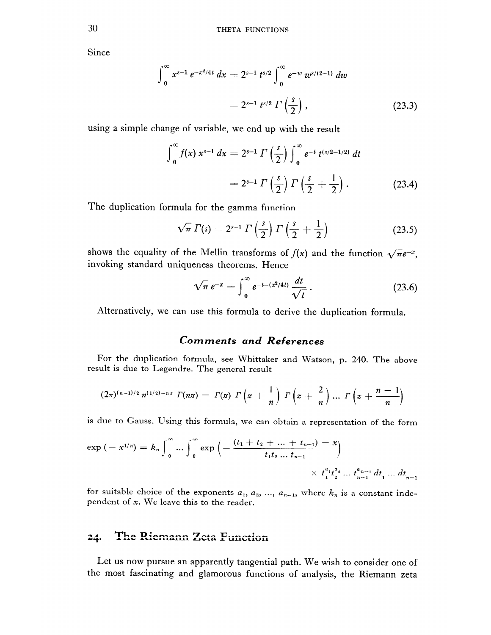Since

$$
\int_0^\infty x^{s-1} e^{-x^2/4t} dx = 2^{s-1} t^{s/2} \int_0^\infty e^{-w} w^{s/(2-1)} dw
$$
  
=  $2^{s-1} t^{s/2} \Gamma\left(\frac{s}{2}\right)$ , (23.3)

using a simple change of variable, we end up with the result

$$
\int_0^\infty f(x) x^{s-1} dx = 2^{s-1} \Gamma\left(\frac{s}{2}\right) \int_0^\infty e^{-t} t^{(s/2-1/2)} dt
$$
  
=  $2^{s-1} \Gamma\left(\frac{s}{2}\right) \Gamma\left(\frac{s}{2} + \frac{1}{2}\right).$  (23.4)

The duplication formula for the gamma function

$$
\sqrt{\pi} \Gamma(s) = 2^{s-1} \Gamma\left(\frac{s}{2}\right) \Gamma\left(\frac{s}{2} + \frac{1}{2}\right) \tag{23.5}
$$

shows the equality of the Mellin transforms of  $f(x)$  and the function  $\sqrt{\pi}e^{-x}$ , invoking standard uniqueness theorems. Hence

$$
\sqrt{\pi} \, e^{-x} = \int_0^\infty e^{-t - (x^2/4t)} \, \frac{dt}{\sqrt{t}} \,. \tag{23.6}
$$

Alternatively, we can use this formula to derive the duplication formula.

## **Comments and References**

For the duplication formula, see Whittaker and Watson, p. 240. The above result is due to Legendre. The general result

$$
(2\pi)^{(n-1)/2} n^{(1/2)-nz} \Gamma(nz) = \Gamma(z) \Gamma\left(z + \frac{1}{n}\right) \Gamma\left(z + \frac{2}{n}\right) ... \Gamma\left(z + \frac{n-1}{n}\right)
$$

is due to Gauss. Using this formula, we can obtain a representation of the form

$$
\exp\left(-x^{1/n}\right) = k_n \int_0^\infty \dots \int_0^\infty \exp\left(-\frac{(t_1+t_2+\dots+t_{n-1})-x}{t_1t_2\dots t_{n-1}}\right) \times t_1^{a_1}t_2^{a_2}\dots t_{n-1}^{a_{n-1}} dt_1 \dots dt_{n-1}
$$

for suitable choice of the exponents  $a_1, a_2, ..., a_{n-1}$ , where  $k_n$  is a constant independent of x. We leave this to the reader.

#### The Riemann Zeta Function 24.

Let us now pursue an apparently tangential path. We wish to consider one of the most fascinating and glamorous functions of analysis, the Riemann zeta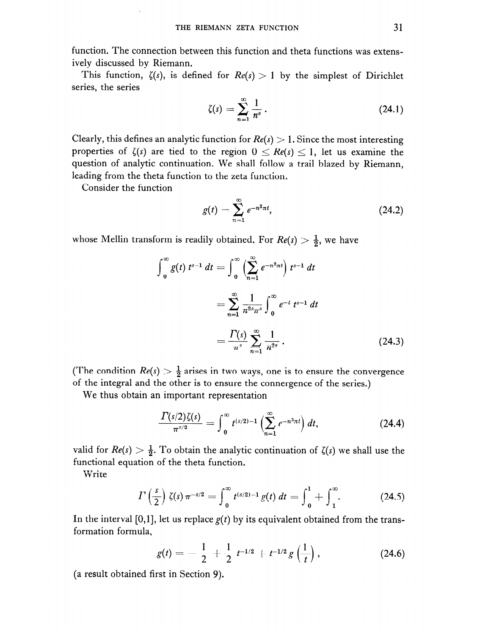function. The connection between this function and theta functions was extensively discussed by Riemann.

This function,  $\zeta(s)$ , is defined for  $Re(s) > 1$  by the simplest of Dirichlet series, the series

$$
\zeta(s) = \sum_{n=1}^{\infty} \frac{1}{n^s} \,. \tag{24.1}
$$

Clearly, this defines an analytic function for  $Re(s) > 1$ . Since the most interesting properties of  $\zeta(s)$  are tied to the region  $0 \le Re(s) \le 1$ , let us examine the question of analytic continuation. We shall follow a trail blazed by Riemann, leading from the theta function to the zeta function.

Consider the function

$$
g(t) = \sum_{n=1}^{\infty} e^{-n^2 \pi t},
$$
 (24.2)

whose Mellin transform is readily obtained. For  $Re(s) > \frac{1}{2}$ , we have

$$
\int_{0}^{\infty} g(t) t^{s-1} dt = \int_{0}^{\infty} \left( \sum_{n=1}^{\infty} e^{-n^2 \pi t} \right) t^{s-1} dt
$$
  

$$
= \sum_{n=1}^{\infty} \frac{1}{n^{2s} \pi^s} \int_{0}^{\infty} e^{-t} t^{s-1} dt
$$
  

$$
= \frac{\Gamma(s)}{\pi^s} \sum_{n=1}^{\infty} \frac{1}{n^{2s}}.
$$
 (24.3)

(The condition  $Re(s) > \frac{1}{2}$  arises in two ways, one is to ensure the convergence of the integral and the other is to ensure the connergence of the series.)

We thus obtain an important representation

$$
\frac{\Gamma(s/2)\zeta(s)}{\pi^{s/2}} = \int_0^\infty t^{(s/2)-1} \left(\sum_{n=1}^\infty e^{-n^2\pi t}\right) dt, \tag{24.4}
$$

valid for  $Re(s) > \frac{1}{2}$ . To obtain the analytic continuation of  $\zeta(s)$  we shall use the functional equation of the theta function.

Write

$$
I'\left(\frac{s}{2}\right)\zeta(s)\,\pi^{-s/2}=\int_0^\infty t^{(s/2)-1}\,g(t)\,dt=\int_0^1+\int_1^\infty.\qquad\qquad(24.5)
$$

In the interval [0,1], let us replace  $g(t)$  by its equivalent obtained from the transformation formula,

$$
g(t) = -\frac{1}{2} + \frac{1}{2} t^{-1/2} + t^{-1/2} g\left(\frac{1}{t}\right), \qquad (24.6)
$$

(a result obtained first in Section 9).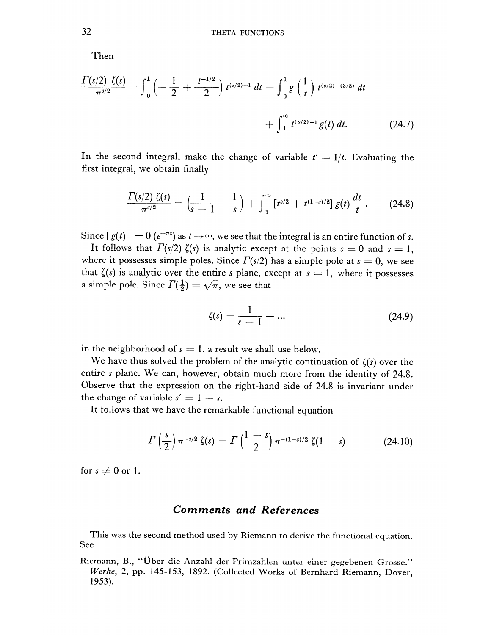Then

$$
\frac{\Gamma(s/2) \zeta(s)}{\pi^{s/2}} = \int_0^1 \left( -\frac{1}{2} + \frac{t^{-1/2}}{2} \right) t^{(s/2)-1} dt + \int_0^1 g\left( \frac{1}{t} \right) t^{(s/2)-3/2} dt + \int_1^\infty t^{(s/2)-1} g(t) dt.
$$
 (24.7)

In the second integral, make the change of variable  $t' = 1/t$ . Evaluating the first integral, we obtain finally

$$
\frac{\Gamma(s/2) \zeta(s)}{\pi^{s/2}} = \left(\frac{1}{s-1} - \frac{1}{s}\right) + \int_1^\infty \left[t^{s/2} + t^{(1-s)/2}\right] g(t) \frac{dt}{t} \,.
$$
 (24.8)

Since  $|g(t)| = 0$   $(e^{-\pi t})$  as  $t \to \infty$ , we see that the integral is an entire function of s.

It follows that  $\Gamma(s/2)$   $\zeta(s)$  is analytic except at the points  $s = 0$  and  $s = 1$ . where it possesses simple poles. Since  $\Gamma(s/2)$  has a simple pole at  $s = 0$ , we see that  $\zeta(s)$  is analytic over the entire s plane, except at  $s = 1$ , where it possesses a simple pole. Since  $\Gamma(\frac{1}{2}) = \sqrt{\pi}$ , we see that

$$
\zeta(s) = \frac{1}{s-1} + \dots \tag{24.9}
$$

in the neighborhood of  $s = 1$ , a result we shall use below.

We have thus solved the problem of the analytic continuation of  $\zeta(s)$  over the entire s plane. We can, however, obtain much more from the identity of 24.8. Observe that the expression on the right-hand side of 24.8 is invariant under the change of variable  $s' = 1 - s$ .

It follows that we have the remarkable functional equation

$$
\Gamma\left(\frac{s}{2}\right)\pi^{-s/2}\zeta(s) = \Gamma\left(\frac{1-s}{2}\right)\pi^{-(1-s)/2}\zeta(1-s) \tag{24.10}
$$

for  $s \neq 0$  or 1.

### **Comments and References**

This was the second method used by Riemann to derive the functional equation. See

Riemann, B., "Über die Anzahl der Primzahlen unter einer gegebenen Grosse." Werke, 2, pp. 145-153, 1892. (Collected Works of Bernhard Riemann, Dover, 1953).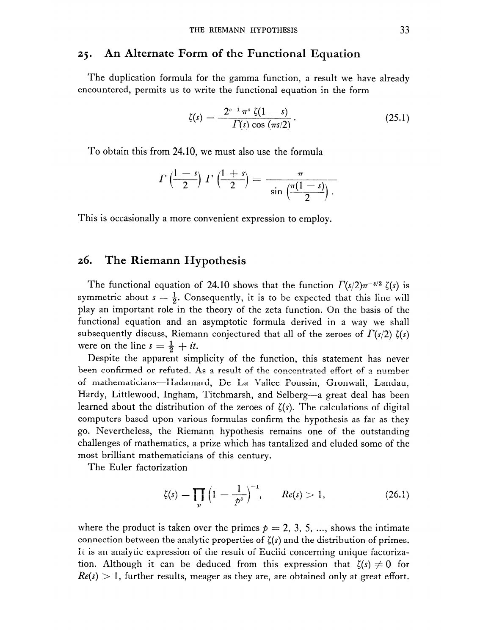#### An Alternate Form of the Functional Equation  $25.$

The duplication formula for the gamma function, a result we have already encountered, permits us to write the functional equation in the form

$$
\zeta(s) = \frac{2^{s-1} \pi^s \zeta(1-s)}{\Gamma(s) \cos (\pi s/2)}.
$$
 (25.1)

To obtain this from 24.10, we must also use the formula

$$
\Gamma\left(\frac{1-s}{2}\right)\Gamma\left(\frac{1+s}{2}\right)=\frac{\pi}{\sin\left(\frac{\pi(1-s)}{2}\right)}.
$$

This is occasionally a more convenient expression to employ.

#### 26. The Riemann Hypothesis

The functional equation of 24.10 shows that the function  $\Gamma(s/2)\pi^{-s/2} \zeta(s)$  is symmetric about  $s = \frac{1}{2}$ . Consequently, it is to be expected that this line will play an important role in the theory of the zeta function. On the basis of the functional equation and an asymptotic formula derived in a way we shall subsequently discuss, Riemann conjectured that all of the zeroes of  $\Gamma(s/2)$   $\zeta(s)$ were on the line  $s = \frac{1}{2} + it$ .

Despite the apparent simplicity of the function, this statement has never been confirmed or refuted. As a result of the concentrated effort of a number of mathematicians-Hadamard, De La Vallee Poussin, Gronwall, Landau, Hardy, Littlewood, Ingham, Titchmarsh, and Selberg—a great deal has been learned about the distribution of the zeroes of  $\zeta(s)$ . The calculations of digital computers based upon various formulas confirm the hypothesis as far as they go. Nevertheless, the Riemann hypothesis remains one of the outstanding challenges of mathematics, a prize which has tantalized and eluded some of the most brilliant mathematicians of this century.

The Euler factorization

$$
\zeta(s) = \prod_{p} \left( 1 - \frac{1}{p^{s}} \right)^{-1}, \qquad Re(s) > 1, \tag{26.1}
$$

where the product is taken over the primes  $p = 2, 3, 5, ...$ , shows the intimate connection between the analytic properties of  $\zeta(s)$  and the distribution of primes. It is an analytic expression of the result of Euclid concerning unique factorization. Although it can be deduced from this expression that  $\zeta(s) \neq 0$  for  $Re(s) > 1$ , further results, meager as they are, are obtained only at great effort.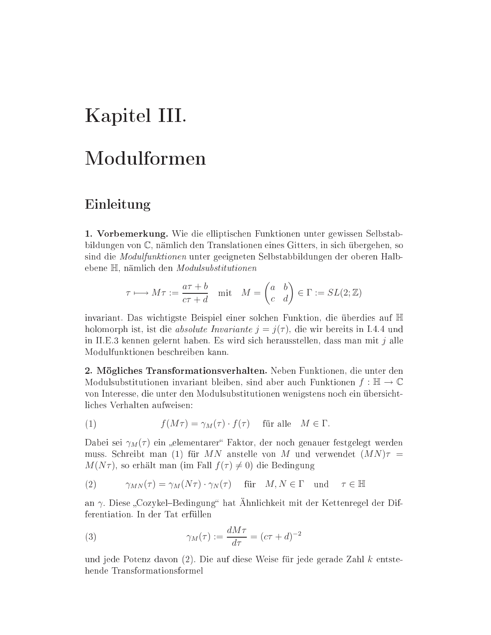# Kapitel III.

## Modulformen

## Einleitung

1. Vorbemerkung. Wie die elliptischen Funktionen unter gewissen Selbstabbildungen von C, nämlich den Translationen eines Gitters, in sich übergehen, so sind die *Modulfunktionen* unter geeigneten Selbstabbildungen der oberen Halbebene H, nämlich den Modulsubstitutionen

$$
\tau \longmapsto M\tau := \frac{a\tau + b}{c\tau + d} \quad \text{mit} \quad M = \begin{pmatrix} a & b \\ c & d \end{pmatrix} \in \Gamma := SL(2; \mathbb{Z})
$$

invariant. Das wichtigste Beispiel einer solchen Funktion, die überdies auf H holomorph ist, ist die *absolute Invariante*  $j = j(\tau)$ , die wir bereits in I.4.4 und in II.E.3 kennen gelernt haben. Es wird sich herausstellen, dass man mit  $i$  alle Modulfunktionen beschreiben kann.

2. Mögliches Transformationsverhalten. Neben Funktionen, die unter den Modulsubstitutionen invariant bleiben, sind aber auch Funktionen  $f : \mathbb{H} \to \mathbb{C}$ von Interesse, die unter den Modulsubstitutionen wenigstens noch ein übersichtliches Verhalten aufweisen:

(1) 
$$
f(M\tau) = \gamma_M(\tau) \cdot f(\tau) \quad \text{für alle} \quad M \in \Gamma
$$

Dabei sei  $\gamma_M(\tau)$  ein "elementarer" Faktor, der noch genauer festgelegt werden muss. Schreibt man (1) für MN anstelle von M und verwendet  $(MN)\tau =$  $M(N\tau)$ , so erhält man (im Fall  $f(\tau) \neq 0$ ) die Bedingung

(2) 
$$
\gamma_{MN}(\tau) = \gamma_M(N\tau) \cdot \gamma_N(\tau) \quad \text{für} \quad M, N \in \Gamma \quad \text{und} \quad \tau \in \mathbb{H}
$$

an  $\gamma$ . Diese "Cozykel–Bedingung" hat Ähnlichkeit mit der Kettenregel der Differentiation. In der Tat erfüllen

(3) 
$$
\gamma_M(\tau) := \frac{dM\tau}{d\tau} = (c\tau + d)^{-2}
$$

und jede Potenz davon  $(2)$ . Die auf diese Weise für jede gerade Zahl k entstehende Transformationsformel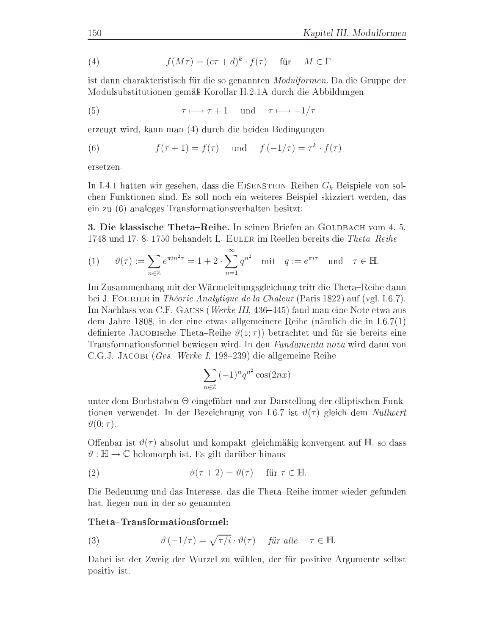(4) 
$$
f(M\tau) = (c\tau + d)^k \cdot f(\tau) \quad \text{für} \quad M \in \Gamma
$$

ist dann charakteristisch für die so genannten *Modulformen*. Da die Gruppe der Modulsubstitutionen gemäß Korollar II.2.1A durch die Abbildungen

(5) 
$$
\tau \longmapsto \tau + 1 \quad \text{und} \quad \tau \longmapsto -1/\tau
$$

erzeugt wird, kann man (4) durch die beiden Bedingungen

(6) 
$$
f(\tau + 1) = f(\tau)
$$
 und  $f(-1/\tau) = \tau^k \cdot f(\tau)$ 

ersetzen.

In I.4.1 hatten wir gesehen, dass die EISENSTEIN-Reihen  $G_k$  Beispiele von solchen Funktionen sind. Es soll noch ein weiteres Beispiel skizziert werden, das ein zu (6) analoges Transformationsverhalten besitzt:

3. Die klassische Theta-Reihe. In seinen Briefen an GOLDBACH vom 4. 5. 1748 und 17.8.1750 behandelt L. EULER im Reellen bereits die Theta-Reihe

(1) 
$$
\vartheta(\tau) := \sum_{n \in \mathbb{Z}} e^{\pi i n^2 \tau} = 1 + 2 \cdot \sum_{n=1}^{\infty} q^{n^2}
$$
 mit  $q := e^{\pi i \tau}$  und  $\tau \in \mathbb{H}$ .

Im Zusammenhang mit der Wärmeleitungsgleichung tritt die Theta-Reihe dann bei J. FOURIER in *Théorie Analytique de la Chaleur* (Paris 1822) auf (vgl. I.6.7). Im Nachlass von C.F. GAUSS (Werke III, 436–445) fand man eine Note etwa aus dem Jahre 1808, in der eine etwas allgemeinere Reihe (nämlich die in  $I.6.7(1)$ definierte JACOBIsche Theta–Reihe  $\vartheta(z;\tau)$  betrachtet und für sie bereits eine Transformationsformel bewiesen wird. In den Fundamenta nova wird dann von C.G.J. JACOBI (Ges. Werke I, 198–239) die allgemeine Reihe

$$
\sum_{n\in\mathbb{Z}} (-1)^n q^{n^2} \cos(2nx)
$$

unter dem Buchstaben  $\Theta$  eingeführt und zur Darstellung der elliptischen Funktionen verwendet. In der Bezeichnung von 1.6.7 ist  $\vartheta(\tau)$  gleich dem Nullwert  $\vartheta(0;\tau)$ .

Offenbar ist  $\vartheta(\tau)$  absolut und kompakt-gleichmäßig konvergent auf H, so dass  $\vartheta : \mathbb{H} \to \mathbb{C}$  holomorph ist. Es gilt darüber hinaus

(2) 
$$
\vartheta(\tau+2) = \vartheta(\tau) \quad \text{für } \tau \in \mathbb{H}.
$$

Die Bedeutung und das Interesse, das die Theta-Reihe immer wieder gefunden hat, liegen nun in der so genannten

### ${\rm The ta\text{-}Transformations for mel\text{:}}$

(3) 
$$
\vartheta(-1/\tau) = \sqrt{\tau/i} \cdot \vartheta(\tau) \quad \text{für alle} \quad \tau \in \mathbb{H}.
$$

Dabei ist der Zweig der Wurzel zu wählen, der für positive Argumente selbst positiv ist.